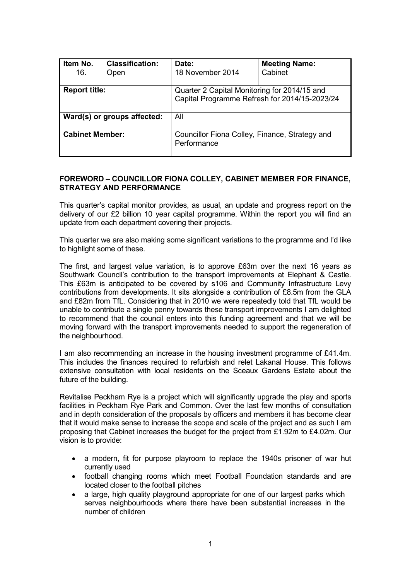| Item No.<br>16.             | <b>Classification:</b><br>Open | Date:<br>18 November 2014                                                                     | <b>Meeting Name:</b><br>Cabinet |  |
|-----------------------------|--------------------------------|-----------------------------------------------------------------------------------------------|---------------------------------|--|
| <b>Report title:</b>        |                                | Quarter 2 Capital Monitoring for 2014/15 and<br>Capital Programme Refresh for 2014/15-2023/24 |                                 |  |
| Ward(s) or groups affected: |                                | All                                                                                           |                                 |  |
| <b>Cabinet Member:</b>      |                                | Councillor Fiona Colley, Finance, Strategy and<br>Performance                                 |                                 |  |

# **FOREWORD – COUNCILLOR FIONA COLLEY, CABINET MEMBER FOR FINANCE, STRATEGY AND PERFORMANCE**

This quarter's capital monitor provides, as usual, an update and progress report on the delivery of our £2 billion 10 year capital programme. Within the report you will find an update from each department covering their projects.

This quarter we are also making some significant variations to the programme and I'd like to highlight some of these.

The first, and largest value variation, is to approve £63m over the next 16 years as Southwark Council's contribution to the transport improvements at Elephant & Castle. This £63m is anticipated to be covered by s106 and Community Infrastructure Levy contributions from developments. It sits alongside a contribution of £8.5m from the GLA and £82m from TfL. Considering that in 2010 we were repeatedly told that TfL would be unable to contribute a single penny towards these transport improvements I am delighted to recommend that the council enters into this funding agreement and that we will be moving forward with the transport improvements needed to support the regeneration of the neighbourhood.

I am also recommending an increase in the housing investment programme of £41.4m. This includes the finances required to refurbish and relet Lakanal House. This follows extensive consultation with local residents on the Sceaux Gardens Estate about the future of the building.

Revitalise Peckham Rye is a project which will significantly upgrade the play and sports facilities in Peckham Rye Park and Common. Over the last few months of consultation and in depth consideration of the proposals by officers and members it has become clear that it would make sense to increase the scope and scale of the project and as such I am proposing that Cabinet increases the budget for the project from £1.92m to £4.02m. Our vision is to provide:

- a modern, fit for purpose playroom to replace the 1940s prisoner of war hut currently used
- football changing rooms which meet Football Foundation standards and are located closer to the football pitches
- a large, high quality playground appropriate for one of our largest parks which serves neighbourhoods where there have been substantial increases in the number of children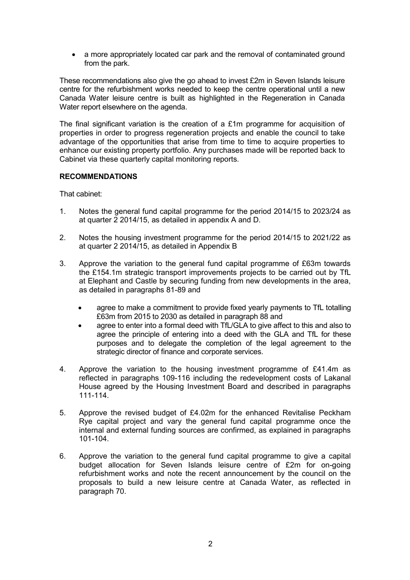• a more appropriately located car park and the removal of contaminated ground from the park.

These recommendations also give the go ahead to invest £2m in Seven Islands leisure centre for the refurbishment works needed to keep the centre operational until a new Canada Water leisure centre is built as highlighted in the Regeneration in Canada Water report elsewhere on the agenda.

The final significant variation is the creation of a £1m programme for acquisition of properties in order to progress regeneration projects and enable the council to take advantage of the opportunities that arise from time to time to acquire properties to enhance our existing property portfolio. Any purchases made will be reported back to Cabinet via these quarterly capital monitoring reports.

### **RECOMMENDATIONS**

That cabinet:

- 1. Notes the general fund capital programme for the period 2014/15 to 2023/24 as at quarter 2 2014/15, as detailed in appendix A and D.
- 2. Notes the housing investment programme for the period 2014/15 to 2021/22 as at quarter 2 2014/15, as detailed in Appendix B
- 3. Approve the variation to the general fund capital programme of £63m towards the £154.1m strategic transport improvements projects to be carried out by TfL at Elephant and Castle by securing funding from new developments in the area, as detailed in paragraphs 81-89 and
	- agree to make a commitment to provide fixed yearly payments to TfL totalling £63m from 2015 to 2030 as detailed in paragraph 88 and
	- agree to enter into a formal deed with TfL/GLA to give affect to this and also to agree the principle of entering into a deed with the GLA and TfL for these purposes and to delegate the completion of the legal agreement to the strategic director of finance and corporate services.
- 4. Approve the variation to the housing investment programme of £41.4m as reflected in paragraphs 109-116 including the redevelopment costs of Lakanal House agreed by the Housing Investment Board and described in paragraphs 111-114.
- 5. Approve the revised budget of £4.02m for the enhanced Revitalise Peckham Rye capital project and vary the general fund capital programme once the internal and external funding sources are confirmed, as explained in paragraphs 101-104.
- 6. Approve the variation to the general fund capital programme to give a capital budget allocation for Seven Islands leisure centre of £2m for on-going refurbishment works and note the recent announcement by the council on the proposals to build a new leisure centre at Canada Water, as reflected in paragraph 70.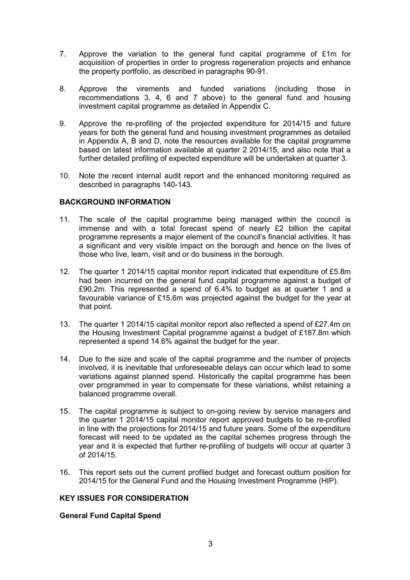- 7. Approve the variation to the general fund capital programme of £1m for acquisition of properties in order to progress regeneration projects and enhance the property portfolio, as described in paragraphs 90-91.
- 8. Approve the virements and funded variations (including those in recommendations 3, 4, 6 and 7 above) to the general fund and housing investment capital programme as detailed in Appendix C.
- 9. Approve the re-profiling of the projected expenditure for 2014/15 and future years for both the general fund and housing investment programmes as detailed in Appendix A, B and D, note the resources available for the capital programme based on latest information available at quarter 2 2014/15, and also note that a further detailed profiling of expected expenditure will be undertaken at quarter 3.
- 10. Note the recent internal audit report and the enhanced monitoring required as described in paragraphs 140-143.

# **BACKGROUND INFORMATION**

- 11. The scale of the capital programme being managed within the council is immense and with a total forecast spend of nearly £2 billion the capital programme represents a major element of the council's financial activities. It has a significant and very visible impact on the borough and hence on the lives of those who live, learn, visit and or do business in the borough.
- 12. The quarter 1 2014/15 capital monitor report indicated that expenditure of £5.8m had been incurred on the general fund capital programme against a budget of £90.2m. This represented a spend of 6.4% to budget as at quarter 1 and a favourable variance of £15.6m was projected against the budget for the year at that point.
- 13. The quarter 1 2014/15 capital monitor report also reflected a spend of £27.4m on the Housing Investment Capital programme against a budget of £187.8m which represented a spend 14.6% against the budget for the year.
- 14. Due to the size and scale of the capital programme and the number of projects involved, it is inevitable that unforeseeable delays can occur which lead to some variations against planned spend. Historically the capital programme has been over programmed in year to compensate for these variations, whilst retaining a balanced programme overall.
- 15. The capital programme is subject to on-going review by service managers and the quarter 1 2014/15 capital monitor report approved budgets to be re-profiled in line with the projections for 2014/15 and future years. Some of the expenditure forecast will need to be updated as the capital schemes progress through the year and it is expected that further re-profiling of budgets will occur at quarter 3 of 2014/15.
- 16. This report sets out the current profiled budget and forecast outturn position for 2014/15 for the General Fund and the Housing Investment Programme (HIP).

# **KEY ISSUES FOR CONSIDERATION**

# **General Fund Capital Spend**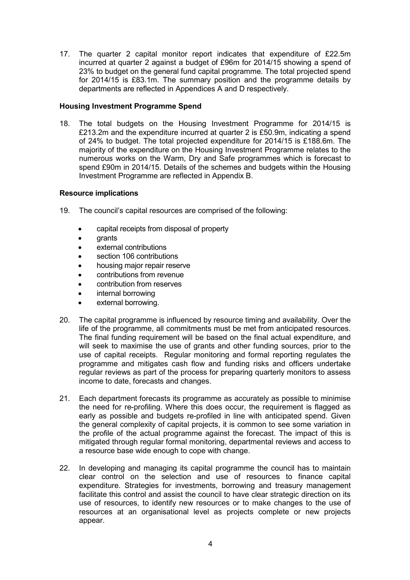17. The quarter 2 capital monitor report indicates that expenditure of £22.5m incurred at quarter 2 against a budget of £96m for 2014/15 showing a spend of 23% to budget on the general fund capital programme. The total projected spend for 2014/15 is £83.1m. The summary position and the programme details by departments are reflected in Appendices A and D respectively.

### **Housing Investment Programme Spend**

18. The total budgets on the Housing Investment Programme for 2014/15 is £213.2m and the expenditure incurred at quarter 2 is £50.9m, indicating a spend of 24% to budget. The total projected expenditure for 2014/15 is £188.6m. The majority of the expenditure on the Housing Investment Programme relates to the numerous works on the Warm, Dry and Safe programmes which is forecast to spend £90m in 2014/15. Details of the schemes and budgets within the Housing Investment Programme are reflected in Appendix B.

### **Resource implications**

- 19. The council's capital resources are comprised of the following:
	- capital receipts from disposal of property
	- grants
	- external contributions
	- section 106 contributions
	- housing major repair reserve
	- contributions from revenue
	- contribution from reserves
	- internal borrowing
	- external borrowing.
- 20. The capital programme is influenced by resource timing and availability. Over the life of the programme, all commitments must be met from anticipated resources. The final funding requirement will be based on the final actual expenditure, and will seek to maximise the use of grants and other funding sources, prior to the use of capital receipts. Regular monitoring and formal reporting regulates the programme and mitigates cash flow and funding risks and officers undertake regular reviews as part of the process for preparing quarterly monitors to assess income to date, forecasts and changes.
- 21. Each department forecasts its programme as accurately as possible to minimise the need for re-profiling. Where this does occur, the requirement is flagged as early as possible and budgets re-profiled in line with anticipated spend. Given the general complexity of capital projects, it is common to see some variation in the profile of the actual programme against the forecast. The impact of this is mitigated through regular formal monitoring, departmental reviews and access to a resource base wide enough to cope with change.
- 22. In developing and managing its capital programme the council has to maintain clear control on the selection and use of resources to finance capital expenditure. Strategies for investments, borrowing and treasury management facilitate this control and assist the council to have clear strategic direction on its use of resources, to identify new resources or to make changes to the use of resources at an organisational level as projects complete or new projects appear.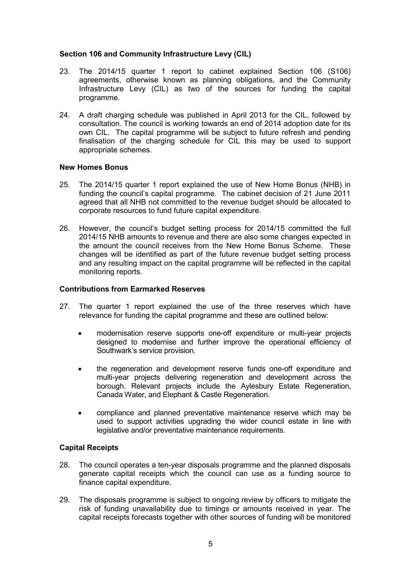# **Section 106 and Community Infrastructure Levy (CIL)**

- 23. The 2014/15 quarter 1 report to cabinet explained Section 106 (S106) agreements, otherwise known as planning obligations, and the Community Infrastructure Levy (CIL) as two of the sources for funding the capital programme.
- 24. A draft charging schedule was published in April 2013 for the CIL, followed by consultation. The council is working towards an end of 2014 adoption date for its own CIL. The capital programme will be subject to future refresh and pending finalisation of the charging schedule for CIL this may be used to support appropriate schemes.

# **New Homes Bonus**

- 25. The 2014/15 quarter 1 report explained the use of New Home Bonus (NHB) in funding the council's capital programme. The cabinet decision of 21 June 2011 agreed that all NHB not committed to the revenue budget should be allocated to corporate resources to fund future capital expenditure.
- 26. However, the council's budget setting process for 2014/15 committed the full 2014/15 NHB amounts to revenue and there are also some changes expected in the amount the council receives from the New Home Bonus Scheme. These changes will be identified as part of the future revenue budget setting process and any resulting impact on the capital programme will be reflected in the capital monitoring reports.

# **Contributions from Earmarked Reserves**

- 27. The quarter 1 report explained the use of the three reserves which have relevance for funding the capital programme and these are outlined below:
	- modernisation reserve supports one-off expenditure or multi-year projects designed to modernise and further improve the operational efficiency of Southwark's service provision.
	- the regeneration and development reserve funds one-off expenditure and multi-year projects delivering regeneration and development across the borough. Relevant projects include the Aylesbury Estate Regeneration, Canada Water, and Elephant & Castle Regeneration.
	- compliance and planned preventative maintenance reserve which may be used to support activities upgrading the wider council estate in line with legislative and/or preventative maintenance requirements.

# **Capital Receipts**

- 28. The council operates a ten-year disposals programme and the planned disposals generate capital receipts which the council can use as a funding source to finance capital expenditure.
- 29. The disposals programme is subject to ongoing review by officers to mitigate the risk of funding unavailability due to timings or amounts received in year. The capital receipts forecasts together with other sources of funding will be monitored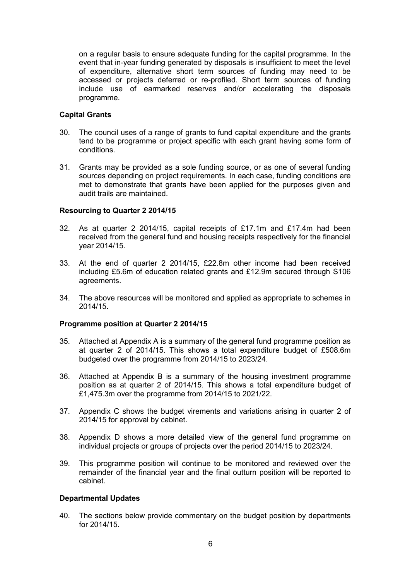on a regular basis to ensure adequate funding for the capital programme. In the event that in-year funding generated by disposals is insufficient to meet the level of expenditure, alternative short term sources of funding may need to be accessed or projects deferred or re-profiled. Short term sources of funding include use of earmarked reserves and/or accelerating the disposals programme.

# **Capital Grants**

- 30. The council uses of a range of grants to fund capital expenditure and the grants tend to be programme or project specific with each grant having some form of conditions.
- 31. Grants may be provided as a sole funding source, or as one of several funding sources depending on project requirements. In each case, funding conditions are met to demonstrate that grants have been applied for the purposes given and audit trails are maintained.

### **Resourcing to Quarter 2 2014/15**

- 32. As at quarter 2 2014/15, capital receipts of £17.1m and £17.4m had been received from the general fund and housing receipts respectively for the financial year 2014/15.
- 33. At the end of quarter 2 2014/15, £22.8m other income had been received including £5.6m of education related grants and £12.9m secured through S106 agreements.
- 34. The above resources will be monitored and applied as appropriate to schemes in 2014/15.

#### **Programme position at Quarter 2 2014/15**

- 35. Attached at Appendix A is a summary of the general fund programme position as at quarter 2 of 2014/15. This shows a total expenditure budget of £508.6m budgeted over the programme from 2014/15 to 2023/24.
- 36. Attached at Appendix B is a summary of the housing investment programme position as at quarter 2 of 2014/15. This shows a total expenditure budget of £1,475.3m over the programme from 2014/15 to 2021/22.
- 37. Appendix C shows the budget virements and variations arising in quarter 2 of 2014/15 for approval by cabinet.
- 38. Appendix D shows a more detailed view of the general fund programme on individual projects or groups of projects over the period 2014/15 to 2023/24.
- 39. This programme position will continue to be monitored and reviewed over the remainder of the financial year and the final outturn position will be reported to cabinet.

#### **Departmental Updates**

40. The sections below provide commentary on the budget position by departments for 2014/15.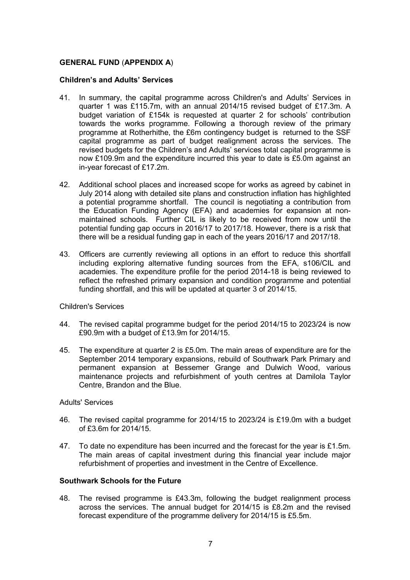# **GENERAL FUND** (**APPENDIX A**)

### **Children's and Adults' Services**

- 41. In summary, the capital programme across Children's and Adults' Services in quarter 1 was £115.7m, with an annual 2014/15 revised budget of £17.3m. A budget variation of £154k is requested at quarter 2 for schools' contribution towards the works programme. Following a thorough review of the primary programme at Rotherhithe, the £6m contingency budget is returned to the SSF capital programme as part of budget realignment across the services. The revised budgets for the Children's and Adults' services total capital programme is now £109.9m and the expenditure incurred this year to date is £5.0m against an in-year forecast of £17.2m.
- 42. Additional school places and increased scope for works as agreed by cabinet in July 2014 along with detailed site plans and construction inflation has highlighted a potential programme shortfall. The council is negotiating a contribution from the Education Funding Agency (EFA) and academies for expansion at nonmaintained schools. Further CIL is likely to be received from now until the potential funding gap occurs in 2016/17 to 2017/18. However, there is a risk that there will be a residual funding gap in each of the years 2016/17 and 2017/18.
- 43. Officers are currently reviewing all options in an effort to reduce this shortfall including exploring alternative funding sources from the EFA, s106/CIL and academies. The expenditure profile for the period 2014-18 is being reviewed to reflect the refreshed primary expansion and condition programme and potential funding shortfall, and this will be updated at quarter 3 of 2014/15.

#### Children's Services

- 44. The revised capital programme budget for the period 2014/15 to 2023/24 is now £90.9m with a budget of £13.9m for 2014/15.
- 45. The expenditure at quarter 2 is £5.0m. The main areas of expenditure are for the September 2014 temporary expansions, rebuild of Southwark Park Primary and permanent expansion at Bessemer Grange and Dulwich Wood, various maintenance projects and refurbishment of youth centres at Damilola Taylor Centre, Brandon and the Blue.

#### Adults' Services

- 46. The revised capital programme for 2014/15 to 2023/24 is £19.0m with a budget of £3.6m for 2014/15.
- 47. To date no expenditure has been incurred and the forecast for the year is £1.5m. The main areas of capital investment during this financial year include major refurbishment of properties and investment in the Centre of Excellence.

# **Southwark Schools for the Future**

48. The revised programme is £43.3m, following the budget realignment process across the services. The annual budget for 2014/15 is £8.2m and the revised forecast expenditure of the programme delivery for 2014/15 is £5.5m.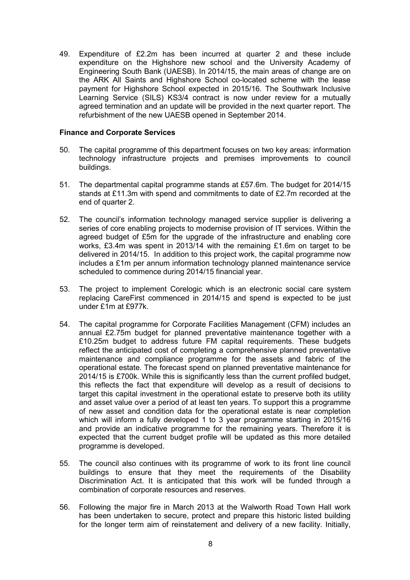49. Expenditure of £2.2m has been incurred at quarter 2 and these include expenditure on the Highshore new school and the University Academy of Engineering South Bank (UAESB). In 2014/15, the main areas of change are on the ARK All Saints and Highshore School co-located scheme with the lease payment for Highshore School expected in 2015/16. The Southwark Inclusive Learning Service (SILS) KS3/4 contract is now under review for a mutually agreed termination and an update will be provided in the next quarter report. The refurbishment of the new UAESB opened in September 2014.

### **Finance and Corporate Services**

- 50. The capital programme of this department focuses on two key areas: information technology infrastructure projects and premises improvements to council buildings.
- 51. The departmental capital programme stands at £57.6m. The budget for 2014/15 stands at £11.3m with spend and commitments to date of £2.7m recorded at the end of quarter 2.
- 52. The council's information technology managed service supplier is delivering a series of core enabling projects to modernise provision of IT services. Within the agreed budget of £5m for the upgrade of the infrastructure and enabling core works, £3.4m was spent in 2013/14 with the remaining £1.6m on target to be delivered in 2014/15. In addition to this project work, the capital programme now includes a £1m per annum information technology planned maintenance service scheduled to commence during 2014/15 financial year.
- 53. The project to implement Corelogic which is an electronic social care system replacing CareFirst commenced in 2014/15 and spend is expected to be just under £1m at £977k.
- 54. The capital programme for Corporate Facilities Management (CFM) includes an annual £2.75m budget for planned preventative maintenance together with a £10.25m budget to address future FM capital requirements. These budgets reflect the anticipated cost of completing a comprehensive planned preventative maintenance and compliance programme for the assets and fabric of the operational estate. The forecast spend on planned preventative maintenance for 2014/15 is £700k. While this is significantly less than the current profiled budget, this reflects the fact that expenditure will develop as a result of decisions to target this capital investment in the operational estate to preserve both its utility and asset value over a period of at least ten years. To support this a programme of new asset and condition data for the operational estate is near completion which will inform a fully developed 1 to 3 year programme starting in 2015/16 and provide an indicative programme for the remaining years. Therefore it is expected that the current budget profile will be updated as this more detailed programme is developed.
- 55. The council also continues with its programme of work to its front line council buildings to ensure that they meet the requirements of the Disability Discrimination Act. It is anticipated that this work will be funded through a combination of corporate resources and reserves.
- 56. Following the major fire in March 2013 at the Walworth Road Town Hall work has been undertaken to secure, protect and prepare this historic listed building for the longer term aim of reinstatement and delivery of a new facility. Initially,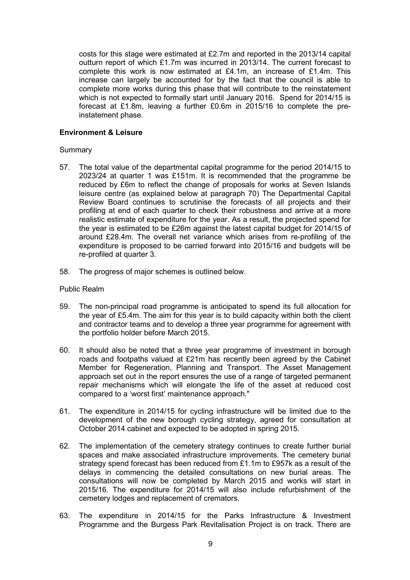costs for this stage were estimated at £2.7m and reported in the 2013/14 capital outturn report of which £1.7m was incurred in 2013/14. The current forecast to complete this work is now estimated at £4.1m, an increase of £1.4m. This increase can largely be accounted for by the fact that the council is able to complete more works during this phase that will contribute to the reinstatement which is not expected to formally start until January 2016. Spend for 2014/15 is forecast at £1.8m, leaving a further £0.6m in 2015/16 to complete the preinstatement phase.

# **Environment & Leisure**

#### Summary

- 57. The total value of the departmental capital programme for the period 2014/15 to 2023/24 at quarter 1 was £151m. It is recommended that the programme be reduced by £6m to reflect the change of proposals for works at Seven Islands leisure centre (as explained below at paragraph 70) The Departmental Capital Review Board continues to scrutinise the forecasts of all projects and their profiling at end of each quarter to check their robustness and arrive at a more realistic estimate of expenditure for the year. As a result, the projected spend for the year is estimated to be £26m against the latest capital budget for 2014/15 of around £28.4m. The overall net variance which arises from re-profiling of the expenditure is proposed to be carried forward into 2015/16 and budgets will be re-profiled at quarter 3.
- 58. The progress of major schemes is outlined below.

#### Public Realm

- 59. The non-principal road programme is anticipated to spend its full allocation for the year of £5.4m. The aim for this year is to build capacity within both the client and contractor teams and to develop a three year programme for agreement with the portfolio holder before March 2015.
- 60. It should also be noted that a three year programme of investment in borough roads and footpaths valued at £21m has recently been agreed by the Cabinet Member for Regeneration, Planning and Transport. The Asset Management approach set out in the report ensures the use of a range of targeted permanent repair mechanisms which will elongate the life of the asset at reduced cost compared to a 'worst first' maintenance approach."
- 61. The expenditure in 2014/15 for cycling infrastructure will be limited due to the development of the new borough cycling strategy, agreed for consultation at October 2014 cabinet and expected to be adopted in spring 2015.
- 62. The implementation of the cemetery strategy continues to create further burial spaces and make associated infrastructure improvements. The cemetery burial strategy spend forecast has been reduced from £1.1m to £957k as a result of the delays in commencing the detailed consultations on new burial areas. The consultations will now be completed by March 2015 and works will start in 2015/16. The expenditure for 2014/15 will also include refurbishment of the cemetery lodges and replacement of cremators.
- 63. The expenditure in 2014/15 for the Parks Infrastructure & Investment Programme and the Burgess Park Revitalisation Project is on track. There are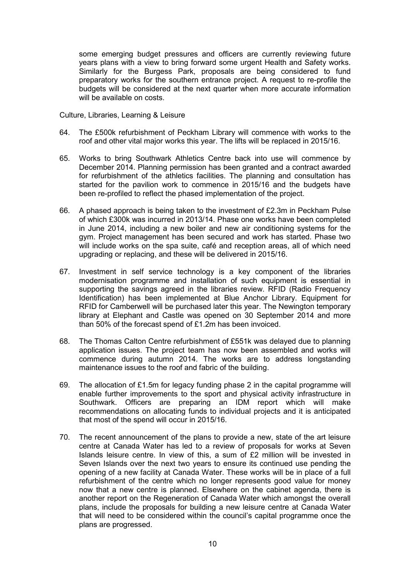some emerging budget pressures and officers are currently reviewing future years plans with a view to bring forward some urgent Health and Safety works. Similarly for the Burgess Park, proposals are being considered to fund preparatory works for the southern entrance project. A request to re-profile the budgets will be considered at the next quarter when more accurate information will be available on costs.

Culture, Libraries, Learning & Leisure

- 64. The £500k refurbishment of Peckham Library will commence with works to the roof and other vital major works this year. The lifts will be replaced in 2015/16.
- 65. Works to bring Southwark Athletics Centre back into use will commence by December 2014. Planning permission has been granted and a contract awarded for refurbishment of the athletics facilities. The planning and consultation has started for the pavilion work to commence in 2015/16 and the budgets have been re-profiled to reflect the phased implementation of the project.
- 66. A phased approach is being taken to the investment of £2.3m in Peckham Pulse of which £300k was incurred in 2013/14. Phase one works have been completed in June 2014, including a new boiler and new air conditioning systems for the gym. Project management has been secured and work has started. Phase two will include works on the spa suite, café and reception areas, all of which need upgrading or replacing, and these will be delivered in 2015/16.
- 67. Investment in self service technology is a key component of the libraries modernisation programme and installation of such equipment is essential in supporting the savings agreed in the libraries review. RFID (Radio Frequency Identification) has been implemented at Blue Anchor Library. Equipment for RFID for Camberwell will be purchased later this year. The Newington temporary library at Elephant and Castle was opened on 30 September 2014 and more than 50% of the forecast spend of £1.2m has been invoiced.
- 68. The Thomas Calton Centre refurbishment of £551k was delayed due to planning application issues. The project team has now been assembled and works will commence during autumn 2014. The works are to address longstanding maintenance issues to the roof and fabric of the building.
- 69. The allocation of £1.5m for legacy funding phase 2 in the capital programme will enable further improvements to the sport and physical activity infrastructure in Southwark. Officers are preparing an IDM report which will make recommendations on allocating funds to individual projects and it is anticipated that most of the spend will occur in 2015/16.
- 70. The recent announcement of the plans to provide a new, state of the art leisure centre at Canada Water has led to a review of proposals for works at Seven Islands leisure centre. In view of this, a sum of £2 million will be invested in Seven Islands over the next two years to ensure its continued use pending the opening of a new facility at Canada Water. These works will be in place of a full refurbishment of the centre which no longer represents good value for money now that a new centre is planned. Elsewhere on the cabinet agenda, there is another report on the Regeneration of Canada Water which amongst the overall plans, include the proposals for building a new leisure centre at Canada Water that will need to be considered within the council's capital programme once the plans are progressed.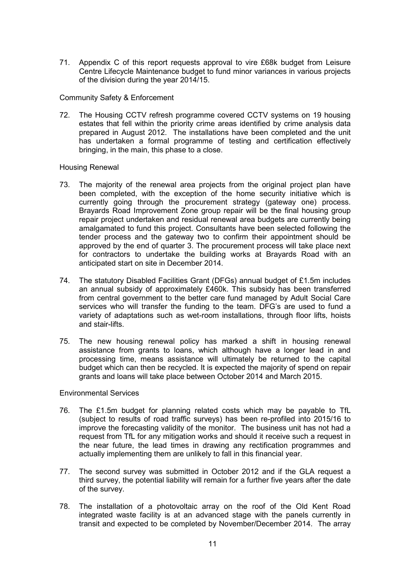71. Appendix C of this report requests approval to vire £68k budget from Leisure Centre Lifecycle Maintenance budget to fund minor variances in various projects of the division during the year 2014/15.

Community Safety & Enforcement

72. The Housing CCTV refresh programme covered CCTV systems on 19 housing estates that fell within the priority crime areas identified by crime analysis data prepared in August 2012. The installations have been completed and the unit has undertaken a formal programme of testing and certification effectively bringing, in the main, this phase to a close.

### Housing Renewal

- 73. The majority of the renewal area projects from the original project plan have been completed, with the exception of the home security initiative which is currently going through the procurement strategy (gateway one) process. Brayards Road Improvement Zone group repair will be the final housing group repair project undertaken and residual renewal area budgets are currently being amalgamated to fund this project. Consultants have been selected following the tender process and the gateway two to confirm their appointment should be approved by the end of quarter 3. The procurement process will take place next for contractors to undertake the building works at Brayards Road with an anticipated start on site in December 2014.
- 74. The statutory Disabled Facilities Grant (DFGs) annual budget of £1.5m includes an annual subsidy of approximately £460k. This subsidy has been transferred from central government to the better care fund managed by Adult Social Care services who will transfer the funding to the team. DFG's are used to fund a variety of adaptations such as wet-room installations, through floor lifts, hoists and stair-lifts.
- 75. The new housing renewal policy has marked a shift in housing renewal assistance from grants to loans, which although have a longer lead in and processing time, means assistance will ultimately be returned to the capital budget which can then be recycled. It is expected the majority of spend on repair grants and loans will take place between October 2014 and March 2015.

# Environmental Services

- 76. The £1.5m budget for planning related costs which may be payable to TfL (subject to results of road traffic surveys) has been re-profiled into 2015/16 to improve the forecasting validity of the monitor. The business unit has not had a request from TfL for any mitigation works and should it receive such a request in the near future, the lead times in drawing any rectification programmes and actually implementing them are unlikely to fall in this financial year.
- 77. The second survey was submitted in October 2012 and if the GLA request a third survey, the potential liability will remain for a further five years after the date of the survey.
- 78. The installation of a photovoltaic array on the roof of the Old Kent Road integrated waste facility is at an advanced stage with the panels currently in transit and expected to be completed by November/December 2014. The array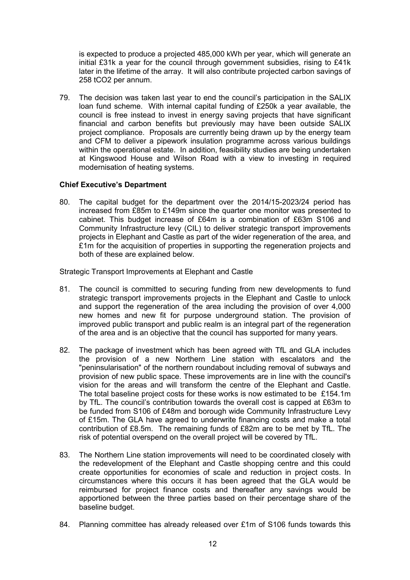is expected to produce a projected 485,000 kWh per year, which will generate an initial £31k a year for the council through government subsidies, rising to £41k later in the lifetime of the array. It will also contribute projected carbon savings of 258 tCO2 per annum.

79. The decision was taken last year to end the council's participation in the SALIX loan fund scheme. With internal capital funding of £250k a year available, the council is free instead to invest in energy saving projects that have significant financial and carbon benefits but previously may have been outside SALIX project compliance. Proposals are currently being drawn up by the energy team and CFM to deliver a pipework insulation programme across various buildings within the operational estate. In addition, feasibility studies are being undertaken at Kingswood House and Wilson Road with a view to investing in required modernisation of heating systems.

# **Chief Executive's Department**

80. The capital budget for the department over the 2014/15-2023/24 period has increased from £85m to £149m since the quarter one monitor was presented to cabinet. This budget increase of £64m is a combination of £63m S106 and Community Infrastructure levy (CIL) to deliver strategic transport improvements projects in Elephant and Castle as part of the wider regeneration of the area, and £1m for the acquisition of properties in supporting the regeneration projects and both of these are explained below.

Strategic Transport Improvements at Elephant and Castle

- 81. The council is committed to securing funding from new developments to fund strategic transport improvements projects in the Elephant and Castle to unlock and support the regeneration of the area including the provision of over 4,000 new homes and new fit for purpose underground station. The provision of improved public transport and public realm is an integral part of the regeneration of the area and is an objective that the council has supported for many years.
- 82. The package of investment which has been agreed with TfL and GLA includes the provision of a new Northern Line station with escalators and the "peninsularisation" of the northern roundabout including removal of subways and provision of new public space. These improvements are in line with the council's vision for the areas and will transform the centre of the Elephant and Castle. The total baseline project costs for these works is now estimated to be £154.1m by TfL. The council's contribution towards the overall cost is capped at £63m to be funded from S106 of £48m and borough wide Community Infrastructure Levy of £15m. The GLA have agreed to underwrite financing costs and make a total contribution of £8.5m. The remaining funds of £82m are to be met by TfL. The risk of potential overspend on the overall project will be covered by TfL.
- 83. The Northern Line station improvements will need to be coordinated closely with the redevelopment of the Elephant and Castle shopping centre and this could create opportunities for economies of scale and reduction in project costs. In circumstances where this occurs it has been agreed that the GLA would be reimbursed for project finance costs and thereafter any savings would be apportioned between the three parties based on their percentage share of the baseline budget.
- 84. Planning committee has already released over £1m of S106 funds towards this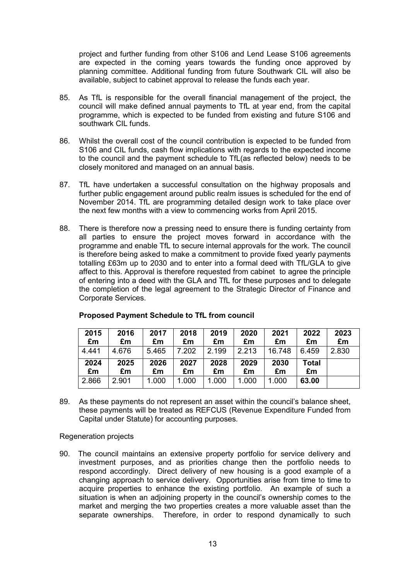project and further funding from other S106 and Lend Lease S106 agreements are expected in the coming years towards the funding once approved by planning committee. Additional funding from future Southwark CIL will also be available, subject to cabinet approval to release the funds each year.

- 85. As TfL is responsible for the overall financial management of the project, the council will make defined annual payments to TfL at year end, from the capital programme, which is expected to be funded from existing and future S106 and southwark CIL funds.
- 86. Whilst the overall cost of the council contribution is expected to be funded from S106 and CIL funds, cash flow implications with regards to the expected income to the council and the payment schedule to TfL(as reflected below) needs to be closely monitored and managed on an annual basis.
- 87. TfL have undertaken a successful consultation on the highway proposals and further public engagement around public realm issues is scheduled for the end of November 2014. TfL are programming detailed design work to take place over the next few months with a view to commencing works from April 2015.
- 88. There is therefore now a pressing need to ensure there is funding certainty from all parties to ensure the project moves forward in accordance with the programme and enable TfL to secure internal approvals for the work. The council is therefore being asked to make a commitment to provide fixed yearly payments totalling £63m up to 2030 and to enter into a formal deed with TfL/GLA to give affect to this. Approval is therefore requested from cabinet to agree the principle of entering into a deed with the GLA and TfL for these purposes and to delegate the completion of the legal agreement to the Strategic Director of Finance and Corporate Services.

| 2015  | 2016  | 2017  | 2018  | 2019  | 2020  | 2021   | 2022  | 2023  |
|-------|-------|-------|-------|-------|-------|--------|-------|-------|
| £m    | £m    | £m    | £m    | £m    | £m    | £m     | £m    | £m    |
| 4.441 | 4.676 | 5.465 | 7.202 | 2.199 | 2.213 | 16.748 | 6.459 | 2.830 |
| 2024  | 2025  | 2026  | 2027  | 2028  | 2029  | 2030   | Total |       |
| £m    | £m    | £m    | £m    | £m    | £m    | £m     | £m    |       |
| 2.866 | 2.901 | 1.000 | 1.000 | 1.000 | 1.000 | 1.000  | 63.00 |       |

# **Proposed Payment Schedule to TfL from council**

89. As these payments do not represent an asset within the council's balance sheet, these payments will be treated as REFCUS (Revenue Expenditure Funded from Capital under Statute) for accounting purposes.

Regeneration projects

90. The council maintains an extensive property portfolio for service delivery and investment purposes, and as priorities change then the portfolio needs to respond accordingly. Direct delivery of new housing is a good example of a changing approach to service delivery. Opportunities arise from time to time to acquire properties to enhance the existing portfolio. An example of such a situation is when an adjoining property in the council's ownership comes to the market and merging the two properties creates a more valuable asset than the separate ownerships. Therefore, in order to respond dynamically to such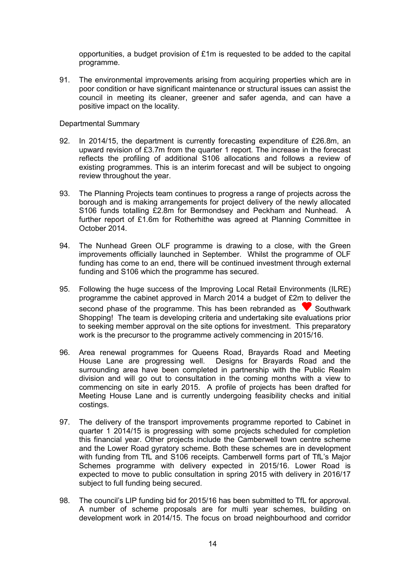opportunities, a budget provision of £1m is requested to be added to the capital programme.

91. The environmental improvements arising from acquiring properties which are in poor condition or have significant maintenance or structural issues can assist the council in meeting its cleaner, greener and safer agenda, and can have a positive impact on the locality.

Departmental Summary

- 92. In 2014/15, the department is currently forecasting expenditure of £26.8m, an upward revision of £3.7m from the quarter 1 report. The increase in the forecast reflects the profiling of additional S106 allocations and follows a review of existing programmes. This is an interim forecast and will be subject to ongoing review throughout the year.
- 93. The Planning Projects team continues to progress a range of projects across the borough and is making arrangements for project delivery of the newly allocated S106 funds totalling £2.8m for Bermondsey and Peckham and Nunhead. A further report of £1.6m for Rotherhithe was agreed at Planning Committee in October 2014.
- 94. The Nunhead Green OLF programme is drawing to a close, with the Green improvements officially launched in September. Whilst the programme of OLF funding has come to an end, there will be continued investment through external funding and S106 which the programme has secured.
- 95. Following the huge success of the Improving Local Retail Environments (ILRE) programme the cabinet approved in March 2014 a budget of £2m to deliver the second phase of the programme. This has been rebranded as  $\blacktriangledown$  Southwark Shopping! The team is developing criteria and undertaking site evaluations prior to seeking member approval on the site options for investment. This preparatory work is the precursor to the programme actively commencing in 2015/16.
- 96. Area renewal programmes for Queens Road, Brayards Road and Meeting House Lane are progressing well. Designs for Brayards Road and the surrounding area have been completed in partnership with the Public Realm division and will go out to consultation in the coming months with a view to commencing on site in early 2015. A profile of projects has been drafted for Meeting House Lane and is currently undergoing feasibility checks and initial costings.
- 97. The delivery of the transport improvements programme reported to Cabinet in quarter 1 2014/15 is progressing with some projects scheduled for completion this financial year. Other projects include the Camberwell town centre scheme and the Lower Road gyratory scheme. Both these schemes are in development with funding from TfL and S106 receipts. Camberwell forms part of TfL's Major Schemes programme with delivery expected in 2015/16. Lower Road is expected to move to public consultation in spring 2015 with delivery in 2016/17 subject to full funding being secured.
- 98. The council's LIP funding bid for 2015/16 has been submitted to TfL for approval. A number of scheme proposals are for multi year schemes, building on development work in 2014/15. The focus on broad neighbourhood and corridor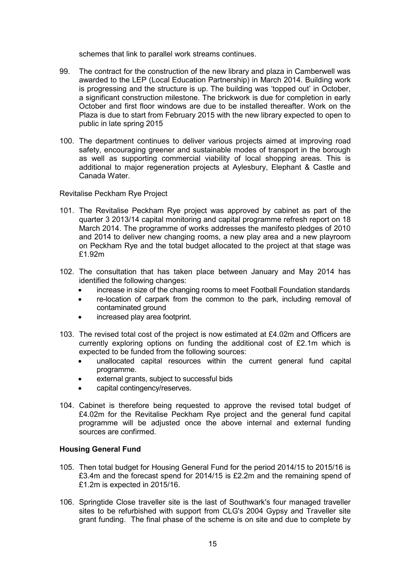schemes that link to parallel work streams continues.

- 99. The contract for the construction of the new library and plaza in Camberwell was awarded to the LEP (Local Education Partnership) in March 2014. Building work is progressing and the structure is up. The building was 'topped out' in October, a significant construction milestone. The brickwork is due for completion in early October and first floor windows are due to be installed thereafter. Work on the Plaza is due to start from February 2015 with the new library expected to open to public in late spring 2015
- 100. The department continues to deliver various projects aimed at improving road safety, encouraging greener and sustainable modes of transport in the borough as well as supporting commercial viability of local shopping areas. This is additional to major regeneration projects at Aylesbury, Elephant & Castle and Canada Water.

Revitalise Peckham Rye Project

- 101. The Revitalise Peckham Rye project was approved by cabinet as part of the quarter 3 2013/14 capital monitoring and capital programme refresh report on 18 March 2014. The programme of works addresses the manifesto pledges of 2010 and 2014 to deliver new changing rooms, a new play area and a new playroom on Peckham Rye and the total budget allocated to the project at that stage was £1.92m
- 102. The consultation that has taken place between January and May 2014 has identified the following changes:
	- increase in size of the changing rooms to meet Football Foundation standards
	- re-location of carpark from the common to the park, including removal of contaminated ground
	- increased play area footprint.
- 103. The revised total cost of the project is now estimated at  $£4.02m$  and Officers are currently exploring options on funding the additional cost of £2.1m which is expected to be funded from the following sources:
	- unallocated capital resources within the current general fund capital programme.
	- external grants, subject to successful bids
	- capital contingency/reserves.
- 104. Cabinet is therefore being requested to approve the revised total budget of £4.02m for the Revitalise Peckham Rye project and the general fund capital programme will be adjusted once the above internal and external funding sources are confirmed.

# **Housing General Fund**

- 105. Then total budget for Housing General Fund for the period 2014/15 to 2015/16 is £3.4m and the forecast spend for 2014/15 is £2.2m and the remaining spend of £1.2m is expected in 2015/16.
- 106. Springtide Close traveller site is the last of Southwark's four managed traveller sites to be refurbished with support from CLG's 2004 Gypsy and Traveller site grant funding. The final phase of the scheme is on site and due to complete by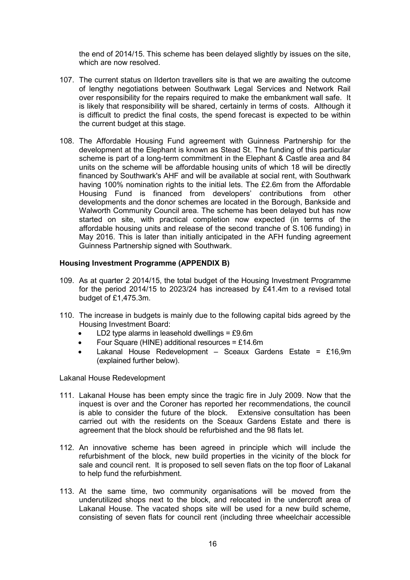the end of 2014/15. This scheme has been delayed slightly by issues on the site, which are now resolved.

- 107. The current status on IIderton travellers site is that we are awaiting the outcome of lengthy negotiations between Southwark Legal Services and Network Rail over responsibility for the repairs required to make the embankment wall safe. It is likely that responsibility will be shared, certainly in terms of costs. Although it is difficult to predict the final costs, the spend forecast is expected to be within the current budget at this stage.
- 108. The Affordable Housing Fund agreement with Guinness Partnership for the development at the Elephant is known as Stead St. The funding of this particular scheme is part of a long-term commitment in the Elephant & Castle area and 84 units on the scheme will be affordable housing units of which 18 will be directly financed by Southwark's AHF and will be available at social rent, with Southwark having 100% nomination rights to the initial lets. The £2.6m from the Affordable Housing Fund is financed from developers' contributions from other developments and the donor schemes are located in the Borough, Bankside and Walworth Community Council area. The scheme has been delayed but has now started on site, with practical completion now expected (in terms of the affordable housing units and release of the second tranche of S.106 funding) in May 2016. This is later than initially anticipated in the AFH funding agreement Guinness Partnership signed with Southwark.

# **Housing Investment Programme (APPENDIX B)**

- 109. As at quarter 2 2014/15, the total budget of the Housing Investment Programme for the period 2014/15 to 2023/24 has increased by £41.4m to a revised total budget of £1,475.3m.
- 110. The increase in budgets is mainly due to the following capital bids agreed by the Housing Investment Board:
	- LD2 type alarms in leasehold dwellings =  $£9.6m$
	- Four Square (HINE) additional resources = £14.6m
	- Lakanal House Redevelopment Sceaux Gardens Estate = £16,9m (explained further below).

Lakanal House Redevelopment

- 111. Lakanal House has been empty since the tragic fire in July 2009. Now that the inquest is over and the Coroner has reported her recommendations, the council<br>is able to consider the future of the block Extensive consultation has been is able to consider the future of the block. carried out with the residents on the Sceaux Gardens Estate and there is agreement that the block should be refurbished and the 98 flats let.
- 112. An innovative scheme has been agreed in principle which will include the refurbishment of the block, new build properties in the vicinity of the block for sale and council rent. It is proposed to sell seven flats on the top floor of Lakanal to help fund the refurbishment.
- 113. At the same time, two community organisations will be moved from the underutilized shops next to the block, and relocated in the undercroft area of Lakanal House. The vacated shops site will be used for a new build scheme, consisting of seven flats for council rent (including three wheelchair accessible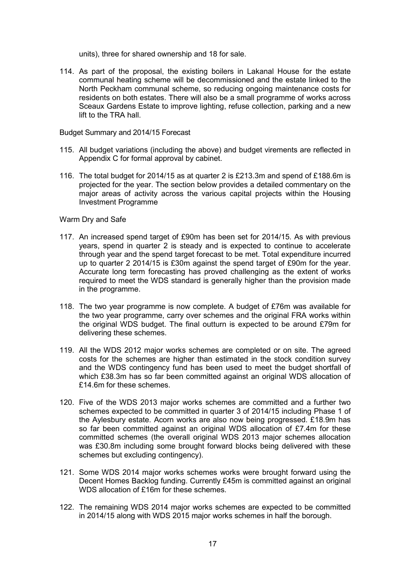units), three for shared ownership and 18 for sale.

114. As part of the proposal, the existing boilers in Lakanal House for the estate communal heating scheme will be decommissioned and the estate linked to the North Peckham communal scheme, so reducing ongoing maintenance costs for residents on both estates. There will also be a small programme of works across Sceaux Gardens Estate to improve lighting, refuse collection, parking and a new lift to the TRA hall.

#### Budget Summary and 2014/15 Forecast

- 115. All budget variations (including the above) and budget virements are reflected in Appendix C for formal approval by cabinet.
- 116. The total budget for 2014/15 as at quarter 2 is £213.3m and spend of £188.6m is projected for the year. The section below provides a detailed commentary on the major areas of activity across the various capital projects within the Housing Investment Programme

#### Warm Dry and Safe

- 117. An increased spend target of £90m has been set for 2014/15. As with previous years, spend in quarter 2 is steady and is expected to continue to accelerate through year and the spend target forecast to be met. Total expenditure incurred up to quarter 2 2014/15 is £30m against the spend target of £90m for the year. Accurate long term forecasting has proved challenging as the extent of works required to meet the WDS standard is generally higher than the provision made in the programme.
- 118. The two year programme is now complete. A budget of £76m was available for the two year programme, carry over schemes and the original FRA works within the original WDS budget. The final outturn is expected to be around £79m for delivering these schemes.
- 119. All the WDS 2012 major works schemes are completed or on site. The agreed costs for the schemes are higher than estimated in the stock condition survey and the WDS contingency fund has been used to meet the budget shortfall of which £38.3m has so far been committed against an original WDS allocation of £14.6m for these schemes.
- 120. Five of the WDS 2013 major works schemes are committed and a further two schemes expected to be committed in quarter 3 of 2014/15 including Phase 1 of the Aylesbury estate. Acorn works are also now being progressed. £18.9m has so far been committed against an original WDS allocation of £7.4m for these committed schemes (the overall original WDS 2013 major schemes allocation was £30.8m including some brought forward blocks being delivered with these schemes but excluding contingency).
- 121. Some WDS 2014 major works schemes works were brought forward using the Decent Homes Backlog funding. Currently £45m is committed against an original WDS allocation of £16m for these schemes.
- 122. The remaining WDS 2014 major works schemes are expected to be committed in 2014/15 along with WDS 2015 major works schemes in half the borough.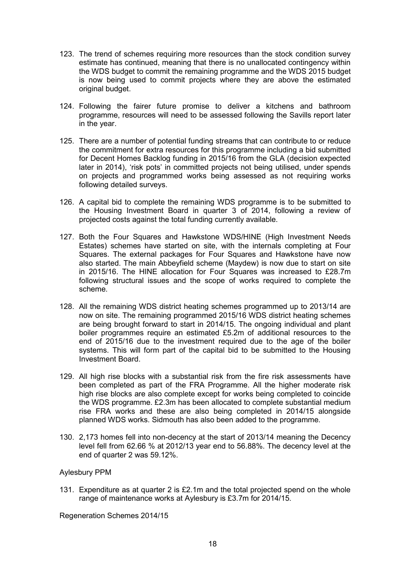- 123. The trend of schemes requiring more resources than the stock condition survey estimate has continued, meaning that there is no unallocated contingency within the WDS budget to commit the remaining programme and the WDS 2015 budget is now being used to commit projects where they are above the estimated original budget.
- 124. Following the fairer future promise to deliver a kitchens and bathroom programme, resources will need to be assessed following the Savills report later in the year.
- 125. There are a number of potential funding streams that can contribute to or reduce the commitment for extra resources for this programme including a bid submitted for Decent Homes Backlog funding in 2015/16 from the GLA (decision expected later in 2014), 'risk pots' in committed projects not being utilised, under spends on projects and programmed works being assessed as not requiring works following detailed surveys.
- 126. A capital bid to complete the remaining WDS programme is to be submitted to the Housing Investment Board in quarter 3 of 2014, following a review of projected costs against the total funding currently available.
- 127. Both the Four Squares and Hawkstone WDS/HINE (High Investment Needs Estates) schemes have started on site, with the internals completing at Four Squares. The external packages for Four Squares and Hawkstone have now also started. The main Abbeyfield scheme (Maydew) is now due to start on site in 2015/16. The HINE allocation for Four Squares was increased to £28.7m following structural issues and the scope of works required to complete the scheme.
- 128. All the remaining WDS district heating schemes programmed up to 2013/14 are now on site. The remaining programmed 2015/16 WDS district heating schemes are being brought forward to start in 2014/15. The ongoing individual and plant boiler programmes require an estimated £5.2m of additional resources to the end of 2015/16 due to the investment required due to the age of the boiler systems. This will form part of the capital bid to be submitted to the Housing Investment Board.
- 129. All high rise blocks with a substantial risk from the fire risk assessments have been completed as part of the FRA Programme. All the higher moderate risk high rise blocks are also complete except for works being completed to coincide the WDS programme. £2.3m has been allocated to complete substantial medium rise FRA works and these are also being completed in 2014/15 alongside planned WDS works. Sidmouth has also been added to the programme.
- 130. 2,173 homes fell into non-decency at the start of 2013/14 meaning the Decency level fell from 62.66 % at 2012/13 year end to 56.88%. The decency level at the end of quarter 2 was 59.12%.

# Aylesbury PPM

131. Expenditure as at quarter 2 is £2.1m and the total projected spend on the whole range of maintenance works at Aylesbury is £3.7m for 2014/15.

Regeneration Schemes 2014/15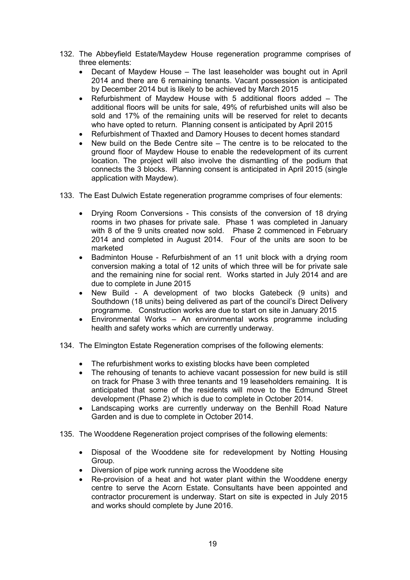- 132. The Abbeyfield Estate/Maydew House regeneration programme comprises of three elements:
	- Decant of Maydew House The last leaseholder was bought out in April 2014 and there are 6 remaining tenants. Vacant possession is anticipated by December 2014 but is likely to be achieved by March 2015
	- Refurbishment of Maydew House with 5 additional floors added The additional floors will be units for sale, 49% of refurbished units will also be sold and 17% of the remaining units will be reserved for relet to decants who have opted to return. Planning consent is anticipated by April 2015
	- Refurbishment of Thaxted and Damory Houses to decent homes standard
	- New build on the Bede Centre site The centre is to be relocated to the ground floor of Maydew House to enable the redevelopment of its current location. The project will also involve the dismantling of the podium that connects the 3 blocks. Planning consent is anticipated in April 2015 (single application with Maydew).
- 133. The East Dulwich Estate regeneration programme comprises of four elements:
	- Drying Room Conversions This consists of the conversion of 18 drying rooms in two phases for private sale. Phase 1 was completed in January with 8 of the 9 units created now sold. Phase 2 commenced in February 2014 and completed in August 2014. Four of the units are soon to be marketed
	- Badminton House Refurbishment of an 11 unit block with a drying room conversion making a total of 12 units of which three will be for private sale and the remaining nine for social rent. Works started in July 2014 and are due to complete in June 2015
	- New Build A development of two blocks Gatebeck (9 units) and Southdown (18 units) being delivered as part of the council's Direct Delivery programme. Construction works are due to start on site in January 2015
	- Environmental Works An environmental works programme including health and safety works which are currently underway.
- 134. The Elmington Estate Regeneration comprises of the following elements:
	- The refurbishment works to existing blocks have been completed
	- The rehousing of tenants to achieve vacant possession for new build is still on track for Phase 3 with three tenants and 19 leaseholders remaining. It is anticipated that some of the residents will move to the Edmund Street development (Phase 2) which is due to complete in October 2014.
	- Landscaping works are currently underway on the Benhill Road Nature Garden and is due to complete in October 2014.
- 135. The Wooddene Regeneration project comprises of the following elements:
	- Disposal of the Wooddene site for redevelopment by Notting Housing Group.
	- Diversion of pipe work running across the Wooddene site
	- Re-provision of a heat and hot water plant within the Wooddene energy centre to serve the Acorn Estate. Consultants have been appointed and contractor procurement is underway. Start on site is expected in July 2015 and works should complete by June 2016.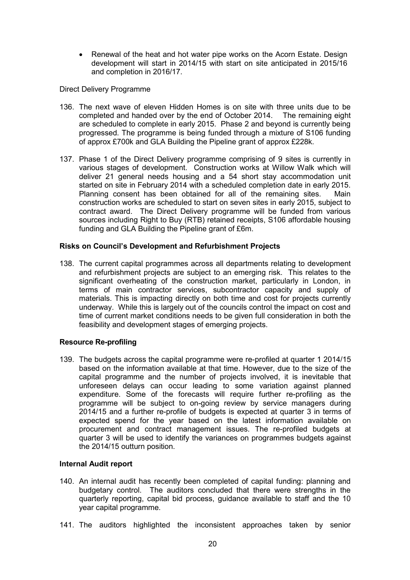• Renewal of the heat and hot water pipe works on the Acorn Estate. Design development will start in 2014/15 with start on site anticipated in 2015/16 and completion in 2016/17.

### Direct Delivery Programme

- 136. The next wave of eleven Hidden Homes is on site with three units due to be completed and handed over by the end of October 2014. The remaining eight are scheduled to complete in early 2015. Phase 2 and beyond is currently being progressed. The programme is being funded through a mixture of S106 funding of approx £700k and GLA Building the Pipeline grant of approx £228k.
- 137. Phase 1 of the Direct Delivery programme comprising of 9 sites is currently in various stages of development. Construction works at Willow Walk which will deliver 21 general needs housing and a 54 short stay accommodation unit started on site in February 2014 with a scheduled completion date in early 2015. Planning consent has been obtained for all of the remaining sites. Main construction works are scheduled to start on seven sites in early 2015, subject to contract award. The Direct Delivery programme will be funded from various sources including Right to Buy (RTB) retained receipts, S106 affordable housing funding and GLA Building the Pipeline grant of £6m.

### **Risks on Council's Development and Refurbishment Projects**

138. The current capital programmes across all departments relating to development and refurbishment projects are subject to an emerging risk. This relates to the significant overheating of the construction market, particularly in London, in terms of main contractor services, subcontractor capacity and supply of materials. This is impacting directly on both time and cost for projects currently underway. While this is largely out of the councils control the impact on cost and time of current market conditions needs to be given full consideration in both the feasibility and development stages of emerging projects.

#### **Resource Re-profiling**

139. The budgets across the capital programme were re-profiled at quarter 1 2014/15 based on the information available at that time. However, due to the size of the capital programme and the number of projects involved, it is inevitable that unforeseen delays can occur leading to some variation against planned expenditure. Some of the forecasts will require further re-profiling as the programme will be subject to on-going review by service managers during 2014/15 and a further re-profile of budgets is expected at quarter 3 in terms of expected spend for the year based on the latest information available on procurement and contract management issues. The re-profiled budgets at quarter 3 will be used to identify the variances on programmes budgets against the 2014/15 outturn position.

#### **Internal Audit report**

- 140. An internal audit has recently been completed of capital funding: planning and budgetary control. The auditors concluded that there were strengths in the quarterly reporting, capital bid process, guidance available to staff and the 10 year capital programme.
- 141. The auditors highlighted the inconsistent approaches taken by senior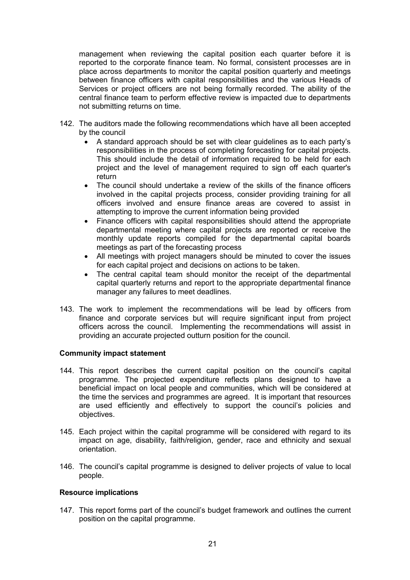management when reviewing the capital position each quarter before it is reported to the corporate finance team. No formal, consistent processes are in place across departments to monitor the capital position quarterly and meetings between finance officers with capital responsibilities and the various Heads of Services or project officers are not being formally recorded. The ability of the central finance team to perform effective review is impacted due to departments not submitting returns on time.

- 142. The auditors made the following recommendations which have all been accepted by the council
	- A standard approach should be set with clear guidelines as to each party's responsibilities in the process of completing forecasting for capital projects. This should include the detail of information required to be held for each project and the level of management required to sign off each quarter's return
	- The council should undertake a review of the skills of the finance officers involved in the capital projects process, consider providing training for all officers involved and ensure finance areas are covered to assist in attempting to improve the current information being provided
	- Finance officers with capital responsibilities should attend the appropriate departmental meeting where capital projects are reported or receive the monthly update reports compiled for the departmental capital boards meetings as part of the forecasting process
	- All meetings with project managers should be minuted to cover the issues for each capital project and decisions on actions to be taken.
	- The central capital team should monitor the receipt of the departmental capital quarterly returns and report to the appropriate departmental finance manager any failures to meet deadlines.
- 143. The work to implement the recommendations will be lead by officers from finance and corporate services but will require significant input from project officers across the council. Implementing the recommendations will assist in providing an accurate projected outturn position for the council.

# **Community impact statement**

- 144. This report describes the current capital position on the council's capital programme. The projected expenditure reflects plans designed to have a beneficial impact on local people and communities, which will be considered at the time the services and programmes are agreed. It is important that resources are used efficiently and effectively to support the council's policies and objectives.
- 145. Each project within the capital programme will be considered with regard to its impact on age, disability, faith/religion, gender, race and ethnicity and sexual orientation.
- 146. The council's capital programme is designed to deliver projects of value to local people.

# **Resource implications**

147. This report forms part of the council's budget framework and outlines the current position on the capital programme.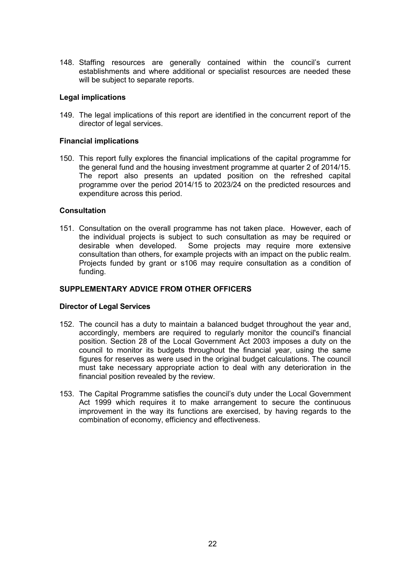148. Staffing resources are generally contained within the council's current establishments and where additional or specialist resources are needed these will be subject to separate reports.

### **Legal implications**

149. The legal implications of this report are identified in the concurrent report of the director of legal services.

### **Financial implications**

150. This report fully explores the financial implications of the capital programme for the general fund and the housing investment programme at quarter 2 of 2014/15. The report also presents an updated position on the refreshed capital programme over the period 2014/15 to 2023/24 on the predicted resources and expenditure across this period.

### **Consultation**

151. Consultation on the overall programme has not taken place. However, each of the individual projects is subject to such consultation as may be required or desirable when developed. Some projects may require more extensive consultation than others, for example projects with an impact on the public realm. Projects funded by grant or s106 may require consultation as a condition of funding.

### **SUPPLEMENTARY ADVICE FROM OTHER OFFICERS**

#### **Director of Legal Services**

- 152. The council has a duty to maintain a balanced budget throughout the year and, accordingly, members are required to regularly monitor the council's financial position. Section 28 of the Local Government Act 2003 imposes a duty on the council to monitor its budgets throughout the financial year, using the same figures for reserves as were used in the original budget calculations. The council must take necessary appropriate action to deal with any deterioration in the financial position revealed by the review.
- 153. The Capital Programme satisfies the council's duty under the Local Government Act 1999 which requires it to make arrangement to secure the continuous improvement in the way its functions are exercised, by having regards to the combination of economy, efficiency and effectiveness.